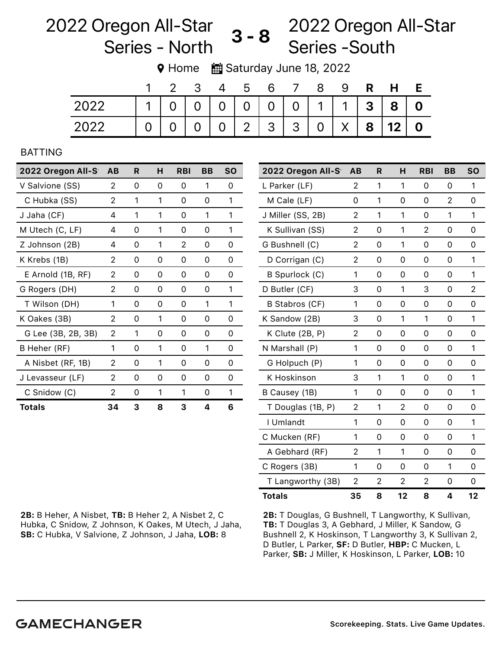## 2022 Oregon All-Star Series - North 2022 Oregon All-Star 3 - 8 <u><sup>2022</sup></u> Oregon

**9** Home ■ Saturday June 18, 2022

|      |  | - 3                                           | 4 | b     | 6 |               |                | 9.      | R. | H       | E |
|------|--|-----------------------------------------------|---|-------|---|---------------|----------------|---------|----|---------|---|
| 2022 |  | $\begin{array}{c} \circ \\ \circ \end{array}$ |   | 0 0 0 |   | 0 0 1 1 1 3   |                |         |    | $8$   0 |   |
| 2022 |  |                                               |   |       |   | 0   2   3   3 | $\overline{0}$ | $X_{-}$ | 8  | 12 0    |   |

## BATTING

| 2022 Oregon All-S  | AB | R | н | <b>RBI</b> | BВ | <b>SO</b> |
|--------------------|----|---|---|------------|----|-----------|
| V Salvione (SS)    | 2  | 0 | 0 | 0          | 1  | 0         |
| C Hubka (SS)       | 2  | 1 | 1 | 0          | 0  | 1         |
| J Jaha (CF)        | 4  | 1 | 1 | 0          | 1  | 1         |
| M Utech (C, LF)    | 4  | 0 | 1 | 0          | 0  | 1         |
| Z Johnson (2B)     | 4  | 0 | 1 | 2          | 0  | 0         |
| K Krebs (1B)       | 2  | 0 | Ω | 0          | 0  | 0         |
| E Arnold (1B, RF)  | 2  | 0 | 0 | 0          | 0  | 0         |
| G Rogers (DH)      | 2  | 0 | 0 | 0          | 0  | 1         |
| T Wilson (DH)      | 1  | 0 | 0 | 0          | 1  | 1         |
| K Oakes (3B)       | 2  | 0 | 1 | 0          | 0  | 0         |
| G Lee (3B, 2B, 3B) | 2  | 1 | Ω | 0          | 0  | 0         |
| B Heher (RF)       | 1  | 0 | 1 | 0          | 1  | 0         |
| A Nisbet (RF, 1B)  | 2  | 0 | 1 | 0          | 0  | 0         |
| J Levasseur (LF)   | 2  | 0 | 0 | 0          | 0  | 0         |
| C Snidow (C)       | 2  | 0 | 1 | 1          | 0  | 1         |
| Totals             | 34 | 3 | 8 | 3          | 4  | 6         |

2B: B Heher, A Nisbet, TB: B Heher 2, A Nisbet 2, C Hubka, C Snidow, Z Johnson, K Oakes, M Utech, J Jaha, SB: C Hubka, V Salvione, Z Johnson, J Jaha, LOB: 8

| 2022 Oregon All-S     | AB             | R | н  | <b>RBI</b>     | <b>BB</b>      | <b>SO</b> |
|-----------------------|----------------|---|----|----------------|----------------|-----------|
| L Parker (LF)         | 2              | 1 | 1  | 0              | 0              | 1         |
| M Cale (LF)           | 0              | 1 | 0  | $\Omega$       | $\overline{2}$ | 0         |
| J Miller (SS, 2B)     | 2              | 1 | 1  | 0              | 1              | 1         |
| K Sullivan (SS)       | 2              | 0 | 1  | $\overline{2}$ | 0              | 0         |
| G Bushnell (C)        | 2              | 0 | 1  | 0              | 0              | 0         |
| D Corrigan (C)        | 2              | 0 | 0  | 0              | 0              | 1         |
| B Spurlock (C)        | 1              | 0 | 0  | 0              | 0              | 1         |
| D Butler (CF)         | 3              | 0 | 1  | 3              | 0              | 2         |
| <b>B Stabros (CF)</b> | 1              | 0 | 0  | 0              | 0              | 0         |
| K Sandow (2B)         | 3              | 0 | 1  | 1              | 0              | 1         |
| K Clute (2B, P)       | $\overline{2}$ | 0 | 0  | 0              | 0              | 0         |
| N Marshall (P)        | 1              | 0 | 0  | 0              | 0              | 1         |
| G Holpuch (P)         | 1              | 0 | 0  | 0              | 0              | 0         |
| K Hoskinson           | 3              | 1 | 1  | 0              | 0              | 1         |
| B Causey (1B)         | 1              | 0 | 0  | 0              | 0              | 1         |
| T Douglas (1B, P)     | 2              | 1 | 2  | $\Omega$       | 0              | 0         |
| I Umlandt             | 1              | 0 | 0  | 0              | 0              | 1         |
| C Mucken (RF)         | 1              | 0 | 0  | 0              | 0              | 1         |
| A Gebhard (RF)        | 2              | 1 | 1  | 0              | 0              | 0         |
| C Rogers (3B)         | 1              | 0 | 0  | 0              | 1              | 0         |
| T Langworthy (3B)     | 2              | 2 | 2  | 2              | 0              | 0         |
| <b>Totals</b>         | 35             | 8 | 12 | 8              | 4              | 12        |

2B: T Douglas, G Bushnell, T Langworthy, K Sullivan, TB: T Douglas 3, A Gebhard, J Miller, K Sandow, G Bushnell 2, K Hoskinson, T Langworthy 3, K Sullivan 2, D Butler, L Parker, SF: D Butler, HBP: C Mucken, L Parker, SB: J Miller, K Hoskinson, L Parker, LOB: 10